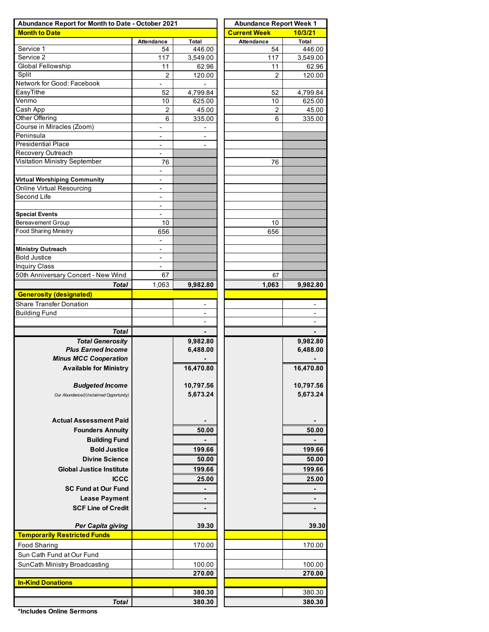| Abundance Report for Month to Date - October 2021 | <b>Abundance Report Week 1</b>             |                          |                     |                          |  |  |  |  |
|---------------------------------------------------|--------------------------------------------|--------------------------|---------------------|--------------------------|--|--|--|--|
| <b>Month to Date</b>                              |                                            |                          | <b>Current Week</b> | 10/3/21                  |  |  |  |  |
|                                                   | <b>Attendance</b>                          | Total                    | <b>Attendance</b>   | Total                    |  |  |  |  |
| Service 1                                         | 54                                         | 446.00                   | 54                  | 446.00                   |  |  |  |  |
| Service 2                                         | 117                                        | 3,549.00                 | 117                 | 3,549.00                 |  |  |  |  |
| <b>Global Fellowship</b>                          | 11                                         | 62.96                    | 11                  | 62.96                    |  |  |  |  |
| Split                                             | $\overline{2}$                             | 120.00                   | $\overline{2}$      | 120.00                   |  |  |  |  |
| Network for Good: Facebook                        | $\qquad \qquad \blacksquare$               | $\blacksquare$           |                     |                          |  |  |  |  |
| EasyTithe                                         | 52                                         | 4,799.84                 | 52                  | 4,799.84                 |  |  |  |  |
| Venmo                                             | 10                                         | 625.00                   | 10                  | 625.00                   |  |  |  |  |
| Cash App                                          | 2                                          | 45.00                    | 2                   | 45.00                    |  |  |  |  |
| Other Offering                                    | 6                                          | 335.00                   | 6                   | 335.00                   |  |  |  |  |
| Course in Miracles (Zoom)                         | $\overline{\phantom{a}}$                   | $\overline{\phantom{a}}$ |                     |                          |  |  |  |  |
| Peninsula                                         | $\overline{\phantom{0}}$                   | -                        |                     |                          |  |  |  |  |
| <b>Presidential Place</b>                         | $\overline{\phantom{0}}$                   | $\overline{\phantom{a}}$ |                     |                          |  |  |  |  |
| Recovery Outreach                                 |                                            |                          |                     |                          |  |  |  |  |
| Visitation Ministry September                     | 76                                         |                          | 76                  |                          |  |  |  |  |
|                                                   | $\frac{1}{2}$                              |                          |                     |                          |  |  |  |  |
| <b>Virtual Worshiping Community</b>               | $\frac{1}{2}$                              |                          |                     |                          |  |  |  |  |
| Online Virtual Resourcing<br>Second Life          | -                                          |                          |                     |                          |  |  |  |  |
|                                                   | $\overline{\phantom{a}}$                   |                          |                     |                          |  |  |  |  |
|                                                   | $\overline{\phantom{a}}$<br>$\overline{a}$ |                          |                     |                          |  |  |  |  |
| <b>Special Events</b><br><b>Bereavement Group</b> | 10                                         |                          | 10                  |                          |  |  |  |  |
| <b>Food Sharing Ministry</b>                      | 656                                        |                          | 656                 |                          |  |  |  |  |
|                                                   |                                            |                          |                     |                          |  |  |  |  |
| <b>Ministry Outreach</b>                          | $\overline{\phantom{a}}$                   |                          |                     |                          |  |  |  |  |
| <b>Bold Justice</b>                               |                                            |                          |                     |                          |  |  |  |  |
| <b>Inquiry Class</b>                              | $\overline{\phantom{a}}$                   |                          |                     |                          |  |  |  |  |
| 50th Anniversary Concert - New Wind               | 67                                         |                          | 67                  |                          |  |  |  |  |
| <b>Total</b>                                      | 1,063                                      | 9,982.80                 | 1,063               | 9,982.80                 |  |  |  |  |
| <b>Generosity (designated)</b>                    |                                            |                          |                     |                          |  |  |  |  |
| <b>Share Transfer Donation</b>                    |                                            | $\overline{\phantom{a}}$ |                     | $\overline{\phantom{0}}$ |  |  |  |  |
| <b>Building Fund</b>                              |                                            | $\overline{\phantom{a}}$ |                     | $\overline{\phantom{a}}$ |  |  |  |  |
|                                                   |                                            |                          |                     |                          |  |  |  |  |
| <b>Total</b>                                      |                                            |                          |                     |                          |  |  |  |  |
| <b>Total Generosity</b>                           |                                            | 9,982.80                 |                     | 9,982.80                 |  |  |  |  |
| <b>Plus Earned Income</b>                         |                                            | 6,488.00                 |                     | 6,488.00                 |  |  |  |  |
| <b>Minus MCC Cooperation</b>                      |                                            |                          |                     |                          |  |  |  |  |
| <b>Available for Ministry</b>                     |                                            | 16,470.80                |                     | 16,470.80                |  |  |  |  |
|                                                   |                                            |                          |                     |                          |  |  |  |  |
| <b>Budgeted Income</b>                            |                                            | 10,797.56                |                     | 10,797.56                |  |  |  |  |
| Our Abundance/(Unclaimed Opportunity)             |                                            | 5,673.24                 |                     | 5,673.24                 |  |  |  |  |
|                                                   |                                            |                          |                     |                          |  |  |  |  |
|                                                   |                                            |                          |                     |                          |  |  |  |  |
| <b>Actual Assessment Paid</b>                     |                                            |                          |                     |                          |  |  |  |  |
| <b>Founders Annuity</b>                           |                                            | 50.00                    |                     | 50.00                    |  |  |  |  |
|                                                   |                                            |                          |                     |                          |  |  |  |  |
| <b>Building Fund</b>                              |                                            |                          |                     |                          |  |  |  |  |
| <b>Bold Justice</b>                               |                                            | 199.66                   |                     | 199.66                   |  |  |  |  |
| <b>Divine Science</b>                             |                                            | 50.00                    |                     | 50.00                    |  |  |  |  |
| <b>Global Justice Institute</b>                   |                                            | 199.66                   |                     | 199.66                   |  |  |  |  |
| <b>ICCC</b>                                       |                                            | 25.00                    |                     | 25.00                    |  |  |  |  |
| <b>SC Fund at Our Fund</b>                        |                                            |                          |                     |                          |  |  |  |  |
| <b>Lease Payment</b>                              |                                            |                          |                     |                          |  |  |  |  |
| <b>SCF Line of Credit</b>                         |                                            |                          |                     |                          |  |  |  |  |
|                                                   |                                            |                          |                     |                          |  |  |  |  |
| <b>Per Capita giving</b>                          |                                            | 39.30                    |                     | 39.30                    |  |  |  |  |
| <b>Temporarily Restricted Funds</b>               |                                            |                          |                     |                          |  |  |  |  |
| <b>Food Sharing</b>                               |                                            | 170.00                   |                     | 170.00                   |  |  |  |  |
| Sun Cath Fund at Our Fund                         |                                            |                          |                     |                          |  |  |  |  |
| SunCath Ministry Broadcasting                     |                                            | 100.00                   |                     | 100.00                   |  |  |  |  |
|                                                   |                                            | 270.00                   |                     | 270.00                   |  |  |  |  |
| <b>In-Kind Donations</b>                          |                                            |                          |                     |                          |  |  |  |  |
|                                                   |                                            | 380.30                   |                     | 380.30                   |  |  |  |  |
|                                                   |                                            |                          |                     |                          |  |  |  |  |
| <b>Total</b>                                      |                                            | 380.30                   |                     | 380.30                   |  |  |  |  |

**\*Includes Online Sermons**